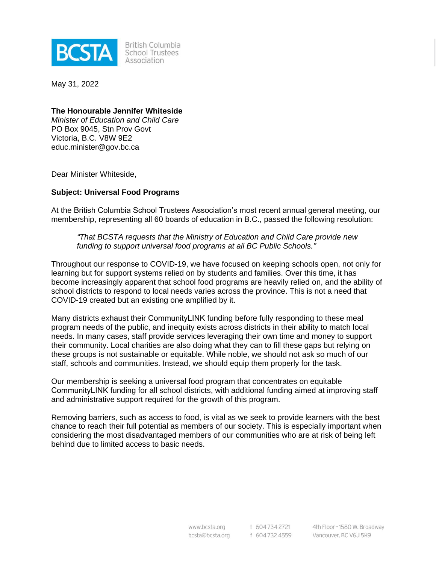

**British Columbia** School Trustees Association

May 31, 2022

### **The Honourable Jennifer Whiteside**

*Minister of Education and Child Care* PO Box 9045, Stn Prov Govt Victoria, B.C. V8W 9E2 educ.minister@gov.bc.ca

Dear Minister Whiteside,

### **Subject: Universal Food Programs**

At the British Columbia School Trustees Association's most recent annual general meeting, our membership, representing all 60 boards of education in B.C., passed the following resolution:

*"That BCSTA requests that the Ministry of Education and Child Care provide new funding to support universal food programs at all BC Public Schools."*

Throughout our response to COVID-19, we have focused on keeping schools open, not only for learning but for support systems relied on by students and families. Over this time, it has become increasingly apparent that school food programs are heavily relied on, and the ability of school districts to respond to local needs varies across the province. This is not a need that COVID-19 created but an existing one amplified by it.

Many districts exhaust their CommunityLINK funding before fully responding to these meal program needs of the public, and inequity exists across districts in their ability to match local needs. In many cases, staff provide services leveraging their own time and money to support their community. Local charities are also doing what they can to fill these gaps but relying on these groups is not sustainable or equitable. While noble, we should not ask so much of our staff, schools and communities. Instead, we should equip them properly for the task.

Our membership is seeking a universal food program that concentrates on equitable CommunityLINK funding for all school districts, with additional funding aimed at improving staff and administrative support required for the growth of this program.

Removing barriers, such as access to food, is vital as we seek to provide learners with the best chance to reach their full potential as members of our society. This is especially important when considering the most disadvantaged members of our communities who are at risk of being left behind due to limited access to basic needs.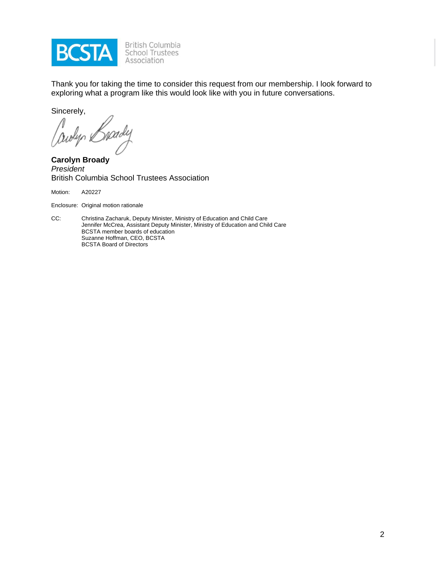

Thank you for taking the time to consider this request from our membership. I look forward to exploring what a program like this would look like with you in future conversations.

Sincerely,

Cowlyn &

**Carolyn Broady** *President* British Columbia School Trustees Association

Motion: A20227

Enclosure: Original motion rationale

CC: Christina Zacharuk, Deputy Minister, Ministry of Education and Child Care Jennifer McCrea, Assistant Deputy Minister, Ministry of Education and Child Care BCSTA member boards of education Suzanne Hoffman, CEO, BCSTA BCSTA Board of Directors